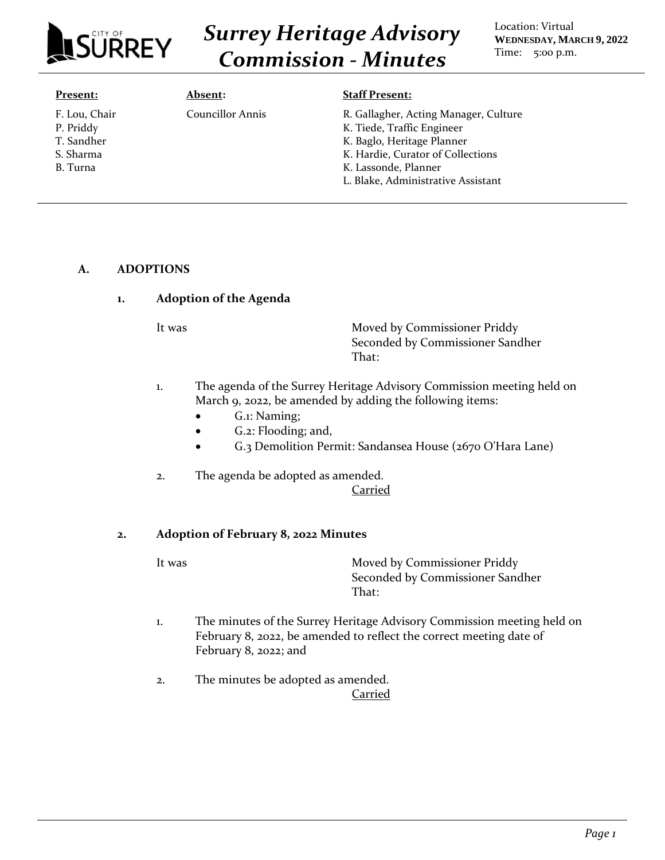

# *Surrey Heritage Advisory Commission - Minutes*

Location: Virtual **WEDNESDAY, MARCH 9, 2022** Time: 5:00 p.m.

#### **Present:**

F. Lou, Chair P. Priddy T. Sandher S. Sharma B. Turna

**Absent:**

Councillor Annis

#### **Staff Present:**

- R. Gallagher, Acting Manager, Culture K. Tiede, Traffic Engineer
- K. Baglo, Heritage Planner
- K. Hardie, Curator of Collections
- K. Lassonde, Planner
- L. Blake, Administrative Assistant

#### **A. ADOPTIONS**

## **1. Adoption of the Agenda**

It was **Moved by Commissioner Priddy** Seconded by Commissioner Sandher That:

- 1. The agenda of the Surrey Heritage Advisory Commission meeting held on March 9, 2022, be amended by adding the following items:
	- G.1: Naming;
	- G.2: Flooding; and,
	- G.3 Demolition Permit: Sandansea House (2670 O'Hara Lane)
- 2. The agenda be adopted as amended.

#### Carried

#### **2. Adoption of February 8, 2022 Minutes**

It was Moved by Commissioner Priddy Seconded by Commissioner Sandher That:

- 1. The minutes of the Surrey Heritage Advisory Commission meeting held on February 8, 2022, be amended to reflect the correct meeting date of February 8, 2022; and
- 2. The minutes be adopted as amended. Carried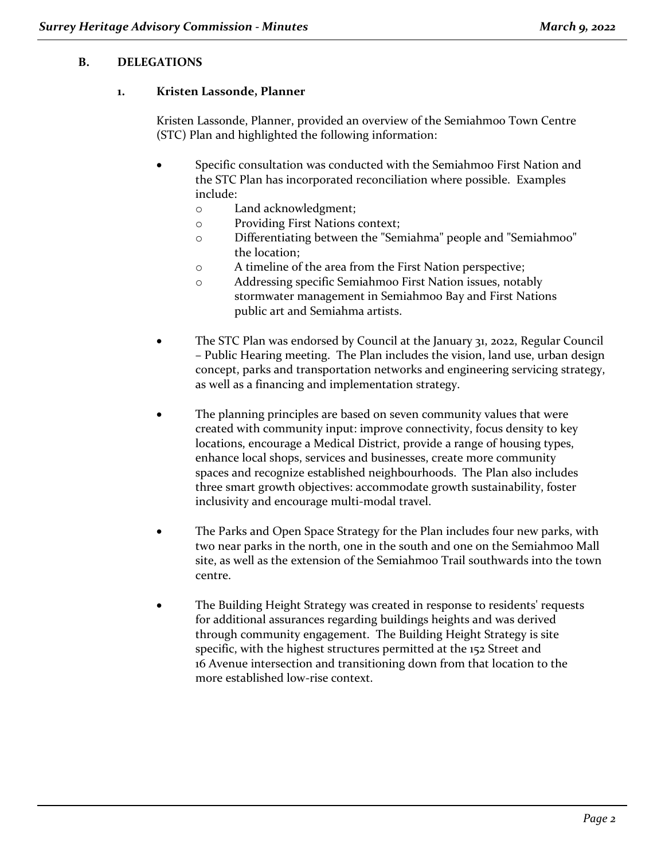# **B. DELEGATIONS**

## **1. Kristen Lassonde, Planner**

Kristen Lassonde, Planner, provided an overview of the Semiahmoo Town Centre (STC) Plan and highlighted the following information:

- Specific consultation was conducted with the Semiahmoo First Nation and the STC Plan has incorporated reconciliation where possible. Examples include:
	- o Land acknowledgment;
	- o Providing First Nations context;
	- o Differentiating between the "Semiahma" people and "Semiahmoo" the location;
	- o A timeline of the area from the First Nation perspective;
	- o Addressing specific Semiahmoo First Nation issues, notably stormwater management in Semiahmoo Bay and First Nations public art and Semiahma artists.
- The STC Plan was endorsed by Council at the January 31, 2022, Regular Council – Public Hearing meeting. The Plan includes the vision, land use, urban design concept, parks and transportation networks and engineering servicing strategy, as well as a financing and implementation strategy.
- The planning principles are based on seven community values that were created with community input: improve connectivity, focus density to key locations, encourage a Medical District, provide a range of housing types, enhance local shops, services and businesses, create more community spaces and recognize established neighbourhoods. The Plan also includes three smart growth objectives: accommodate growth sustainability, foster inclusivity and encourage multi-modal travel.
- The Parks and Open Space Strategy for the Plan includes four new parks, with two near parks in the north, one in the south and one on the Semiahmoo Mall site, as well as the extension of the Semiahmoo Trail southwards into the town centre.
- The Building Height Strategy was created in response to residents' requests for additional assurances regarding buildings heights and was derived through community engagement. The Building Height Strategy is site specific, with the highest structures permitted at the 152 Street and 16 Avenue intersection and transitioning down from that location to the more established low-rise context.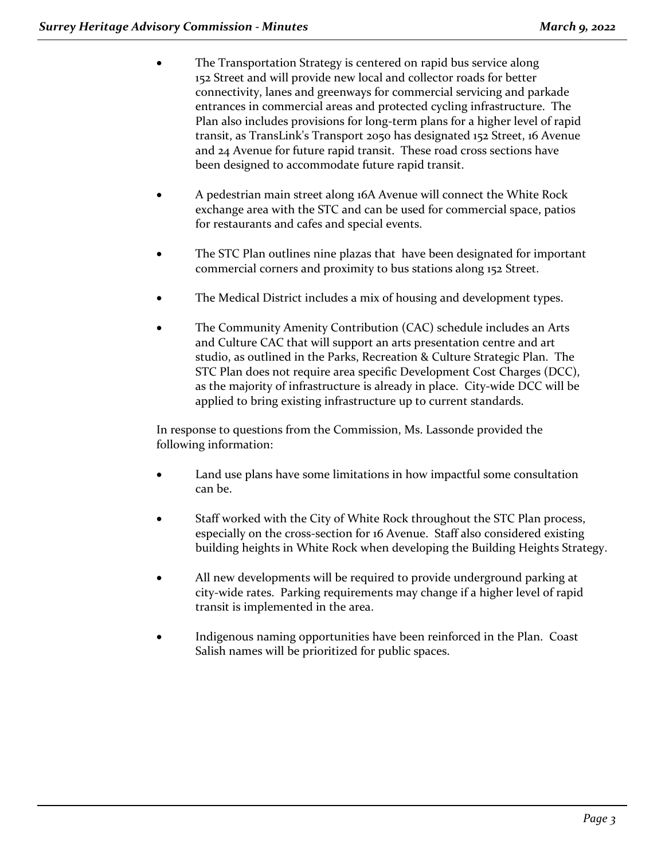- The Transportation Strategy is centered on rapid bus service along 152 Street and will provide new local and collector roads for better connectivity, lanes and greenways for commercial servicing and parkade entrances in commercial areas and protected cycling infrastructure. The Plan also includes provisions for long-term plans for a higher level of rapid transit, as TransLink's Transport 2050 has designated 152 Street, 16 Avenue and 24 Avenue for future rapid transit. These road cross sections have been designed to accommodate future rapid transit.
- A pedestrian main street along 16A Avenue will connect the White Rock exchange area with the STC and can be used for commercial space, patios for restaurants and cafes and special events.
- The STC Plan outlines nine plazas that have been designated for important commercial corners and proximity to bus stations along 152 Street.
- The Medical District includes a mix of housing and development types.
- The Community Amenity Contribution (CAC) schedule includes an Arts and Culture CAC that will support an arts presentation centre and art studio, as outlined in the Parks, Recreation & Culture Strategic Plan. The STC Plan does not require area specific Development Cost Charges (DCC), as the majority of infrastructure is already in place. City-wide DCC will be applied to bring existing infrastructure up to current standards.

In response to questions from the Commission, Ms. Lassonde provided the following information:

- Land use plans have some limitations in how impactful some consultation can be.
- Staff worked with the City of White Rock throughout the STC Plan process, especially on the cross-section for 16 Avenue. Staff also considered existing building heights in White Rock when developing the Building Heights Strategy.
- All new developments will be required to provide underground parking at city-wide rates. Parking requirements may change if a higher level of rapid transit is implemented in the area.
- Indigenous naming opportunities have been reinforced in the Plan. Coast Salish names will be prioritized for public spaces.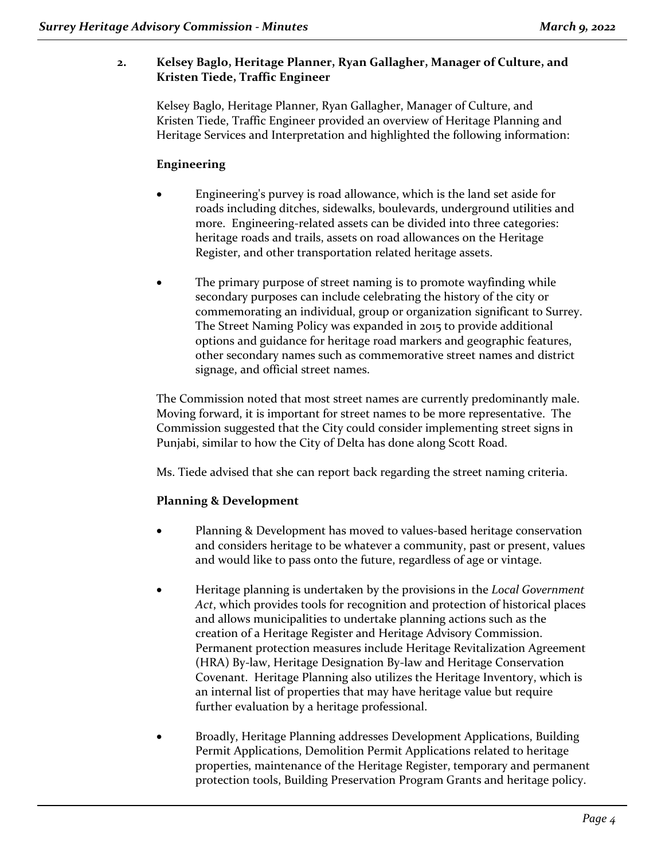# **2. Kelsey Baglo, Heritage Planner, Ryan Gallagher, Manager of Culture, and Kristen Tiede, Traffic Engineer**

Kelsey Baglo, Heritage Planner, Ryan Gallagher, Manager of Culture, and Kristen Tiede, Traffic Engineer provided an overview of Heritage Planning and Heritage Services and Interpretation and highlighted the following information:

# **Engineering**

- Engineering's purvey is road allowance, which is the land set aside for roads including ditches, sidewalks, boulevards, underground utilities and more. Engineering-related assets can be divided into three categories: heritage roads and trails, assets on road allowances on the Heritage Register, and other transportation related heritage assets.
- The primary purpose of street naming is to promote wayfinding while secondary purposes can include celebrating the history of the city or commemorating an individual, group or organization significant to Surrey. The Street Naming Policy was expanded in 2015 to provide additional options and guidance for heritage road markers and geographic features, other secondary names such as commemorative street names and district signage, and official street names.

The Commission noted that most street names are currently predominantly male. Moving forward, it is important for street names to be more representative. The Commission suggested that the City could consider implementing street signs in Punjabi, similar to how the City of Delta has done along Scott Road.

Ms. Tiede advised that she can report back regarding the street naming criteria.

# **Planning & Development**

- Planning & Development has moved to values-based heritage conservation and considers heritage to be whatever a community, past or present, values and would like to pass onto the future, regardless of age or vintage.
- Heritage planning is undertaken by the provisions in the *Local Government Act*, which provides tools for recognition and protection of historical places and allows municipalities to undertake planning actions such as the creation of a Heritage Register and Heritage Advisory Commission. Permanent protection measures include Heritage Revitalization Agreement (HRA) By-law, Heritage Designation By-law and Heritage Conservation Covenant. Heritage Planning also utilizes the Heritage Inventory, which is an internal list of properties that may have heritage value but require further evaluation by a heritage professional.
- Broadly, Heritage Planning addresses Development Applications, Building Permit Applications, Demolition Permit Applications related to heritage properties, maintenance of the Heritage Register, temporary and permanent protection tools, Building Preservation Program Grants and heritage policy.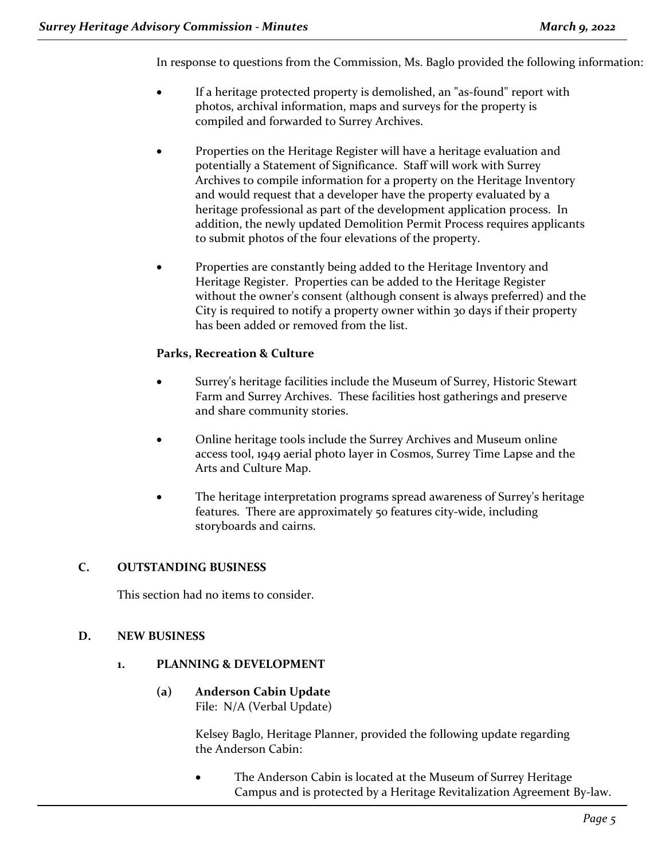In response to questions from the Commission, Ms. Baglo provided the following information:

- If a heritage protected property is demolished, an "as-found" report with photos, archival information, maps and surveys for the property is compiled and forwarded to Surrey Archives.
- Properties on the Heritage Register will have a heritage evaluation and potentially a Statement of Significance. Staff will work with Surrey Archives to compile information for a property on the Heritage Inventory and would request that a developer have the property evaluated by a heritage professional as part of the development application process. In addition, the newly updated Demolition Permit Process requires applicants to submit photos of the four elevations of the property.
- Properties are constantly being added to the Heritage Inventory and Heritage Register. Properties can be added to the Heritage Register without the owner's consent (although consent is always preferred) and the City is required to notify a property owner within 30 days if their property has been added or removed from the list.

# **Parks, Recreation & Culture**

- Surrey's heritage facilities include the Museum of Surrey, Historic Stewart Farm and Surrey Archives. These facilities host gatherings and preserve and share community stories.
- Online heritage tools include the Surrey Archives and Museum online access tool, 1949 aerial photo layer in Cosmos, Surrey Time Lapse and the Arts and Culture Map.
- The heritage interpretation programs spread awareness of Surrey's heritage features. There are approximately 50 features city-wide, including storyboards and cairns.

## **C. OUTSTANDING BUSINESS**

This section had no items to consider.

## **D. NEW BUSINESS**

#### **1. PLANNING & DEVELOPMENT**

**(a) Anderson Cabin Update** File: N/A (Verbal Update)

> Kelsey Baglo, Heritage Planner, provided the following update regarding the Anderson Cabin:

The Anderson Cabin is located at the Museum of Surrey Heritage Campus and is protected by a Heritage Revitalization Agreement By-law.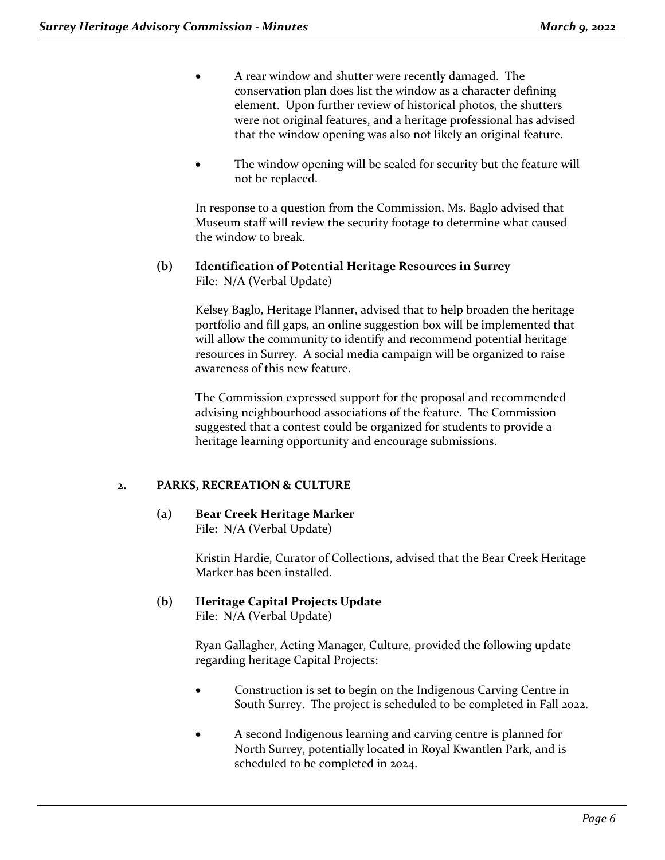- A rear window and shutter were recently damaged. The conservation plan does list the window as a character defining element. Upon further review of historical photos, the shutters were not original features, and a heritage professional has advised that the window opening was also not likely an original feature.
- The window opening will be sealed for security but the feature will not be replaced.

In response to a question from the Commission, Ms. Baglo advised that Museum staff will review the security footage to determine what caused the window to break.

## **(b) Identification of Potential Heritage Resources in Surrey** File: N/A (Verbal Update)

Kelsey Baglo, Heritage Planner, advised that to help broaden the heritage portfolio and fill gaps, an online suggestion box will be implemented that will allow the community to identify and recommend potential heritage resources in Surrey. A social media campaign will be organized to raise awareness of this new feature.

The Commission expressed support for the proposal and recommended advising neighbourhood associations of the feature. The Commission suggested that a contest could be organized for students to provide a heritage learning opportunity and encourage submissions.

# **2. PARKS, RECREATION & CULTURE**

**(a) Bear Creek Heritage Marker** File: N/A (Verbal Update)

> Kristin Hardie, Curator of Collections, advised that the Bear Creek Heritage Marker has been installed.

**(b) Heritage Capital Projects Update** File: N/A (Verbal Update)

> Ryan Gallagher, Acting Manager, Culture, provided the following update regarding heritage Capital Projects:

- Construction is set to begin on the Indigenous Carving Centre in South Surrey. The project is scheduled to be completed in Fall 2022.
- A second Indigenous learning and carving centre is planned for North Surrey, potentially located in Royal Kwantlen Park, and is scheduled to be completed in 2024.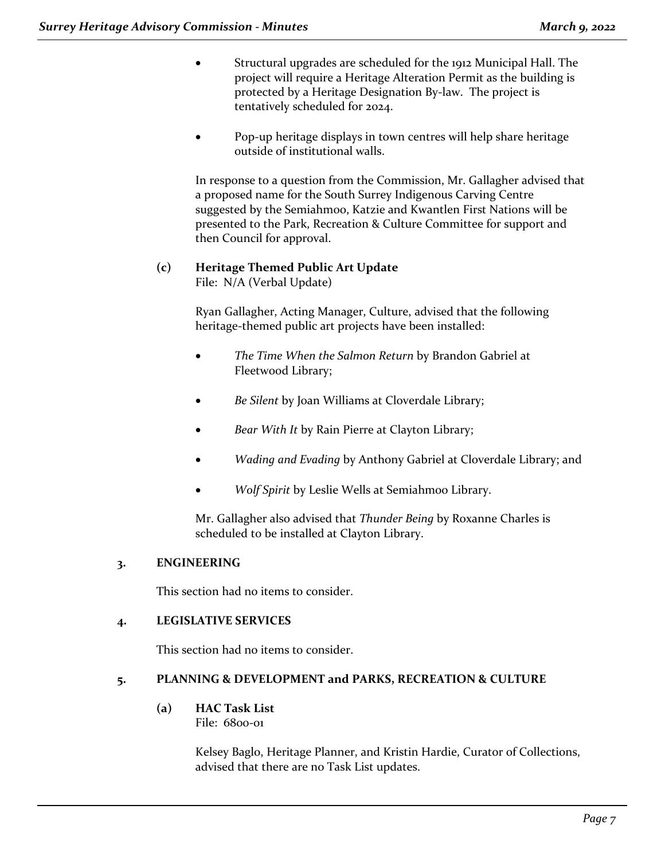- Structural upgrades are scheduled for the 1912 Municipal Hall. The project will require a Heritage Alteration Permit as the building is protected by a Heritage Designation By-law. The project is tentatively scheduled for 2024.
- Pop-up heritage displays in town centres will help share heritage outside of institutional walls.

In response to a question from the Commission, Mr. Gallagher advised that a proposed name for the South Surrey Indigenous Carving Centre suggested by the Semiahmoo, Katzie and Kwantlen First Nations will be presented to the Park, Recreation & Culture Committee for support and then Council for approval.

#### **(c) Heritage Themed Public Art Update** File: N/A (Verbal Update)

Ryan Gallagher, Acting Manager, Culture, advised that the following heritage-themed public art projects have been installed:

- *The Time When the Salmon Return* by Brandon Gabriel at Fleetwood Library;
- *Be Silent* by Joan Williams at Cloverdale Library;
- *Bear With It* by Rain Pierre at Clayton Library;
- *Wading and Evading* by Anthony Gabriel at Cloverdale Library; and
- *Wolf Spirit* by Leslie Wells at Semiahmoo Library.

Mr. Gallagher also advised that *Thunder Being* by Roxanne Charles is scheduled to be installed at Clayton Library.

## **3. ENGINEERING**

This section had no items to consider.

# **4. LEGISLATIVE SERVICES**

This section had no items to consider.

# **5. PLANNING & DEVELOPMENT and PARKS, RECREATION & CULTURE**

**(a) HAC Task List**

File: 6800-01

Kelsey Baglo, Heritage Planner, and Kristin Hardie, Curator of Collections, advised that there are no Task List updates.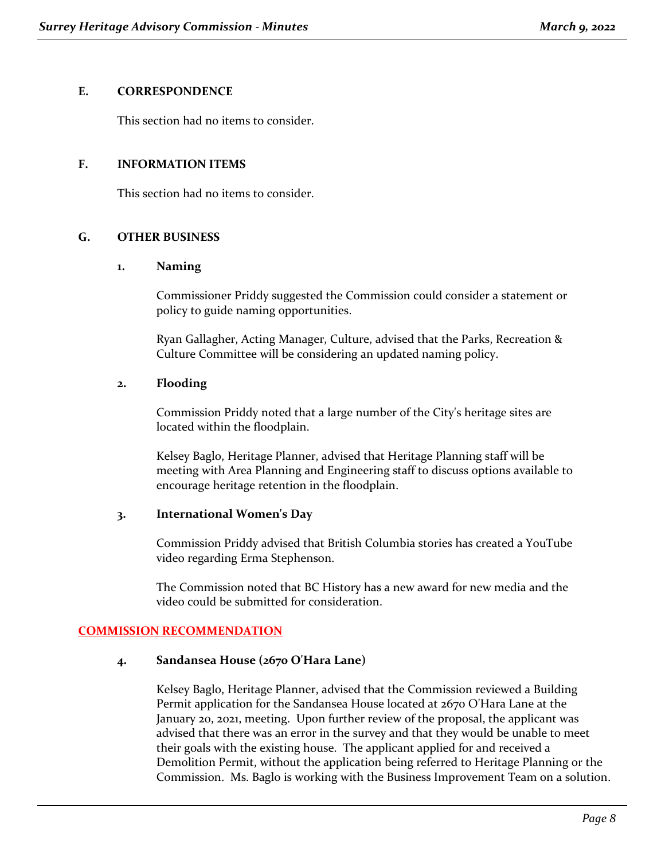## **E. CORRESPONDENCE**

This section had no items to consider.

## **F. INFORMATION ITEMS**

This section had no items to consider.

## **G. OTHER BUSINESS**

#### **1. Naming**

Commissioner Priddy suggested the Commission could consider a statement or policy to guide naming opportunities.

Ryan Gallagher, Acting Manager, Culture, advised that the Parks, Recreation & Culture Committee will be considering an updated naming policy.

## **2. Flooding**

Commission Priddy noted that a large number of the City's heritage sites are located within the floodplain.

Kelsey Baglo, Heritage Planner, advised that Heritage Planning staff will be meeting with Area Planning and Engineering staff to discuss options available to encourage heritage retention in the floodplain.

#### **3. International Women's Day**

Commission Priddy advised that British Columbia stories has created a YouTube video regarding Erma Stephenson.

The Commission noted that BC History has a new award for new media and the video could be submitted for consideration.

#### **COMMISSION RECOMMENDATION**

#### **4. Sandansea House (2670 O'Hara Lane)**

Kelsey Baglo, Heritage Planner, advised that the Commission reviewed a Building Permit application for the Sandansea House located at 2670 O'Hara Lane at the January 20, 2021, meeting. Upon further review of the proposal, the applicant was advised that there was an error in the survey and that they would be unable to meet their goals with the existing house. The applicant applied for and received a Demolition Permit, without the application being referred to Heritage Planning or the Commission. Ms. Baglo is working with the Business Improvement Team on a solution.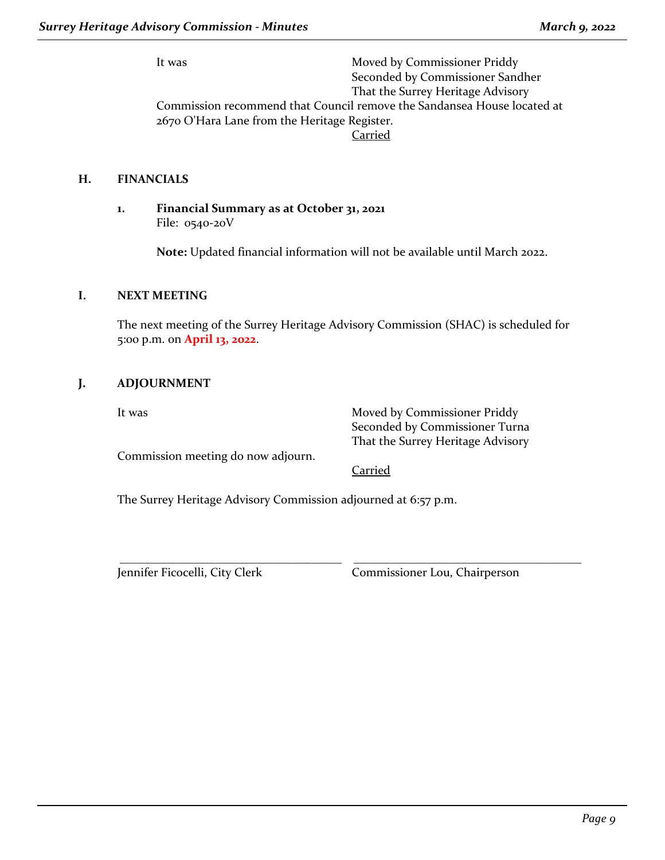It was Moved by Commissioner Priddy Seconded by Commissioner Sandher That the Surrey Heritage Advisory Commission recommend that Council remove the Sandansea House located at 2670 O'Hara Lane from the Heritage Register. Carried

## **H. FINANCIALS**

**1. Financial Summary as at October 31, 2021** File: 0540-20V

**Note:** Updated financial information will not be available until March 2022.

## **I. NEXT MEETING**

The next meeting of the Surrey Heritage Advisory Commission (SHAC) is scheduled for 5:00 p.m. on **April 13, 2022**.

## **J. ADJOURNMENT**

It was Moved by Commissioner Priddy Seconded by Commissioner Turna That the Surrey Heritage Advisory

Commission meeting do now adjourn.

#### Carried

\_\_\_\_\_\_\_\_\_\_\_\_\_\_\_\_\_\_\_\_\_\_\_\_\_\_\_\_\_\_\_\_\_\_\_\_\_ \_\_\_\_\_\_\_\_\_\_\_\_\_\_\_\_\_\_\_\_\_\_\_\_\_\_\_\_\_\_\_\_\_\_\_\_\_\_

The Surrey Heritage Advisory Commission adjourned at 6:57 p.m.

Jennifer Ficocelli, City Clerk Commissioner Lou, Chairperson